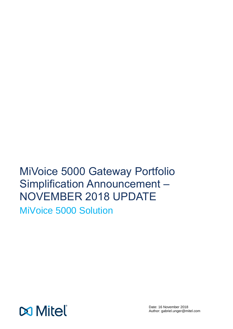# MiVoice 5000 Gateway Portfolio Simplification Announcement – NOVEMBER 2018 UPDATE

MiVoice 5000 Solution

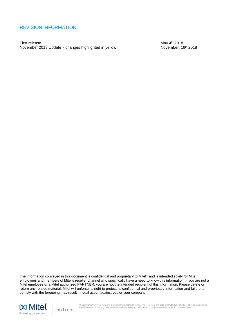### <span id="page-1-0"></span>REVISION INFORMATION

First release May 4<sup>th</sup> 2018 November 2018 Update - changes highlighted in yellow November, 16<sup>th</sup> 2018

The information conveyed in this document is confidential and proprietary to Mitel® and is intended solely for Mitel employees and members of Mitel's reseller channel who specifically have a need to know this information. If you are not a Mitel employee or a Mitel authorized PARTNER, you are not the intended recipient of this information. Please delete or return any related material. Mitel will enforce its right to protect its confidential and proprietary information and failure to comply with the foregoing may result in legal action against you or your company.



mitel.com

© Copyright 2018, Mitel Networks Corporation. All Rights Reserved. The Mitel word and logo are trademarks of Mitel Networks Corporation.<br>Any reference to third-party trademarks is for reference only and Mitel makes no repr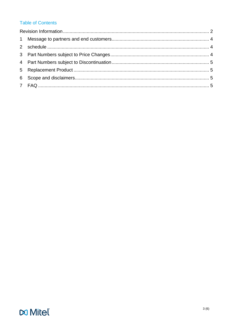### **Table of Contents**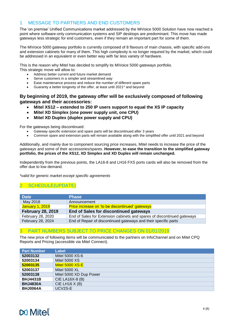### <span id="page-3-0"></span>1 MESSAGE TO PARTNERS AND END CUSTOMERS

The 'on premise' Unified Communications market addressed by the MiVoice 5000 Solution have now reached a point where software-only communication systems and SIP desktops are predominant. This move has made gateways less strategic for end customers, even if they remain an important part for some of them.

The MiVoice 5000 gateway portfolio is currently composed of 8 flavours of main chassis, with specific add-ons and extension cabinets for many of them. This high complexity is no longer required by the market, which could be addressed in an equivalent or even better way with far less variety of hardware.

This is the reason why Mitel has decided to simplify its MiVoice 5000 gateways portfolio. This strategic move will allow to:

- Address better current and future market demand
- Serve customers in a simpler and streamlined way
- Ease maintenance process and reduce the number of different spare parts
- Guaranty a better longevity of the offer, at least until 2021\* and beyond

#### **By beginning of 2019, the gateway offer will be exclusively composed of following gateways and their accessories:**

- **Mitel XS12 – extended to 250 IP users support to equal the XS IP capacity**
- **Mitel XD Simplex (one power supply unit, one CPU)**
- **Mitel XD Duplex (duplex power supply and CPU)**

For the gateways being discontinued:

- Gateway specific extension and spare parts will be discontinued after 3 years
- Common spare and extension parts will remain available along with the simplified offer until 2021 and beyond

Additionally, and mainly due to component sourcing price increases, Mitel needs to increase the price of the gateways and some of their accessories/spares. **However, to ease the transition to the simplified gateway portfolio, the prices of the XS12, XD Simplex and XD Duplex will remain unchanged.**

Independently from the previous points, the LA16-8 and LH16 FXS ports cards will also be removed from the offer due to low demand.

<span id="page-3-1"></span>*\*valid for generic market except specific agreements* 

### SCHEDULE(UPDATE)

| <b>Date</b>              | <b>Phase</b>                                                            |  |
|--------------------------|-------------------------------------------------------------------------|--|
| May 2018                 | Announcement                                                            |  |
| <b>January 1, 2019</b>   | <b>Price increase on 'to be discontinued' gateways</b>                  |  |
| <b>February 28, 2019</b> | End of Sales for discontinued gateways                                  |  |
| February 28, 2020        | End of Sales for Extension cabinets and spares of discontinued gateways |  |
| February 28, 2024        | End of Repair of discontinued gateways and their specific parts         |  |

### <span id="page-3-2"></span>3 PART NUMBERS SUBJECT TO PRICE CHANGES ON 01/01/2019

The new price of following items will be communicated to the partners on InfoChannel and on Mitel CPQ Reports and Pricing (accessible via Mitel Connect).

| <b>Part Number</b> | Label                   |
|--------------------|-------------------------|
| 52003132           | Mitel 5000 XS-6         |
| 52003134           | <b>Mitel 5000 XS</b>    |
| 52003135           | Mitel 5000 XS-E         |
| 52003137           | Mitel 5000 XL           |
| 52003138           | Mitel 5000 XD Dup Power |
| <b>BHJ4431B</b>    | CIE LA16X-8 (B)         |
| <b>BHJ4830A</b>    | CIE LH16 $X$ (B)        |
| <b>BHJ0064A</b>    | UCV2S-E                 |

## **M** Mitel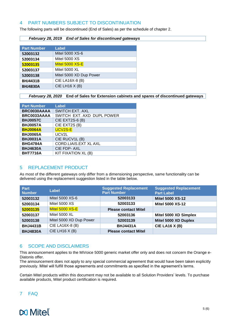### <span id="page-4-0"></span>4 PART NUMBERS SUBJECT TO DISCONTINUATION

The following parts will be discontinued (End of Sales) as per the schedule of chapter 2.

#### *February 28, 2019 End of Sales for discontinued gateways*

| <b>Part Number</b> | Label                   |
|--------------------|-------------------------|
| 52003132           | Mitel 5000 XS-6         |
| 52003134           | <b>Mitel 5000 XS</b>    |
| 52003135           | Mitel 5000 XS-E         |
| 52003137           | <b>Mitel 5000 XL</b>    |
| 52003138           | Mitel 5000 XD Dup Power |
| <b>BHJ4431B</b>    | CIE LA16X-8 (B)         |
| <b>BHJ4830A</b>    | CIE LH16 $X(B)$         |

*February 28, 2020* **End of Sales for Extension cabinets and spares of discontinued gateways**

| <b>Part Number</b> | <b>Label</b>                 |
|--------------------|------------------------------|
| BRC0030AAAA        | <b>SWITCH EXT. AXL</b>       |
| BRC0033AAAA        | SWITCH EXT. AXD DUPL POWER   |
| <b>BHJ0057C</b>    | <b>CIE EXT2S-6 (B)</b>       |
| <b>BHJ0057A</b>    | CIE EXT2S (B)                |
| <b>BHJ0064A</b>    | UCV2S-E                      |
| <b>BHJ0065A</b>    | UCV2L                        |
| <b>BHJ0031A</b>    | CIE RUCV1L (B)               |
| <b>BHG4784A</b>    | <b>CORD.LIAIS.EXT XL AXL</b> |
| <b>BHJ4630A</b>    | <b>CIE FDP-AXL</b>           |
| <b>BHT7716A</b>    | KIT FIXATION XL (B)          |

### <span id="page-4-1"></span>5 REPLACEMENT PRODUCT

As most of the different gateways only differ from a dimensioning perspective, same functionality can be delivered using the replacement suggestion listed in the table below.

| <b>Part</b><br><b>Number</b> | Label                   | <b>Suggested Replacement</b><br><b>Part Number</b> | <b>Suggested Replacement</b><br><b>Part Label</b> |
|------------------------------|-------------------------|----------------------------------------------------|---------------------------------------------------|
| 52003132                     | Mitel 5000 XS-6         | 52003133                                           | <b>Mitel 5000 XS-12</b>                           |
| 52003134                     | <b>Mitel 5000 XS</b>    | 52003133                                           | <b>Mitel 5000 XS-12</b>                           |
| 52003135                     | Mitel 5000 XS-E         | <b>Please contact Mitel</b>                        |                                                   |
| 52003137                     | <b>Mitel 5000 XL</b>    | 52003136                                           | Mitel 5000 XD Simplex                             |
| 52003138                     | Mitel 5000 XD Dup Power | 52003139                                           | Mitel 5000 XD Duplex                              |
| <b>BHJ4431B</b>              | CIE LA16X-8 (B)         | <b>BHJ4431A</b>                                    | <b>CIE LA16 X (B)</b>                             |
| <b>BHJ4830A</b>              | CIE LH16 $X(B)$         | <b>Please contact Mitel</b>                        |                                                   |

### <span id="page-4-2"></span>6 SCOPE AND DISCLAIMERS

This announcement applies to the MiVoice 5000 generic market offer only and does not concern the Orange e-Diatonis offer.

The announcement does not apply to any special commercial agreement that would have been taken explicitly previously. Mitel will fulfill those agreements and commitments as specified in the agreement's terms.

Certain Mitel products within this document may not be available to all Solution Providers' levels. To purchase available products, Mitel product certification is required.

### <span id="page-4-3"></span>7 FAQ